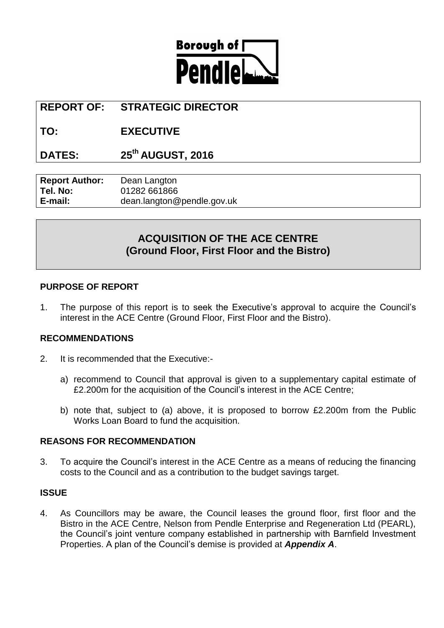

# **REPORT OF: STRATEGIC DIRECTOR**

# **TO: EXECUTIVE**

# **DATES: 25th AUGUST, 2016**

| <b>Report Author:</b> | Dean Langton               |
|-----------------------|----------------------------|
| Tel. No:              | 01282 661866               |
| E-mail:               | dean.langton@pendle.gov.uk |

# **ACQUISITION OF THE ACE CENTRE (Ground Floor, First Floor and the Bistro)**

# **PURPOSE OF REPORT**

1. The purpose of this report is to seek the Executive's approval to acquire the Council's interest in the ACE Centre (Ground Floor, First Floor and the Bistro).

# **RECOMMENDATIONS**

- 2. It is recommended that the Executive:
	- a) recommend to Council that approval is given to a supplementary capital estimate of £2.200m for the acquisition of the Council's interest in the ACE Centre;
	- b) note that, subject to (a) above, it is proposed to borrow £2.200m from the Public Works Loan Board to fund the acquisition.

# **REASONS FOR RECOMMENDATION**

3. To acquire the Council's interest in the ACE Centre as a means of reducing the financing costs to the Council and as a contribution to the budget savings target.

# **ISSUE**

4. As Councillors may be aware, the Council leases the ground floor, first floor and the Bistro in the ACE Centre, Nelson from Pendle Enterprise and Regeneration Ltd (PEARL), the Council's joint venture company established in partnership with Barnfield Investment Properties. A plan of the Council's demise is provided at *Appendix A*.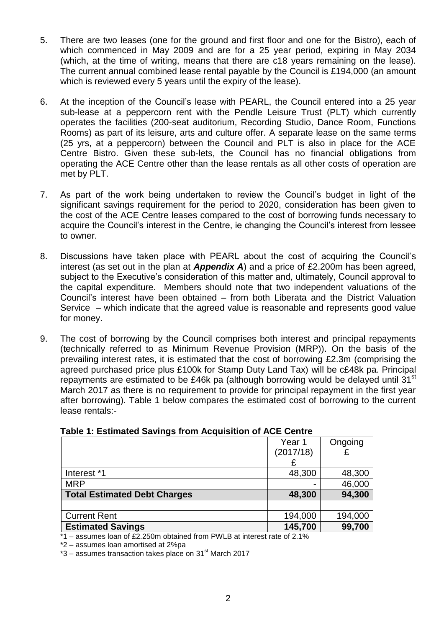- 5. There are two leases (one for the ground and first floor and one for the Bistro), each of which commenced in May 2009 and are for a 25 year period, expiring in May 2034 (which, at the time of writing, means that there are c18 years remaining on the lease). The current annual combined lease rental payable by the Council is £194,000 (an amount which is reviewed every 5 years until the expiry of the lease).
- 6. At the inception of the Council's lease with PEARL, the Council entered into a 25 year sub-lease at a peppercorn rent with the Pendle Leisure Trust (PLT) which currently operates the facilities (200-seat auditorium, Recording Studio, Dance Room, Functions Rooms) as part of its leisure, arts and culture offer. A separate lease on the same terms (25 yrs, at a peppercorn) between the Council and PLT is also in place for the ACE Centre Bistro. Given these sub-lets, the Council has no financial obligations from operating the ACE Centre other than the lease rentals as all other costs of operation are met by PLT.
- 7. As part of the work being undertaken to review the Council's budget in light of the significant savings requirement for the period to 2020, consideration has been given to the cost of the ACE Centre leases compared to the cost of borrowing funds necessary to acquire the Council's interest in the Centre, ie changing the Council's interest from lessee to owner.
- 8. Discussions have taken place with PEARL about the cost of acquiring the Council's interest (as set out in the plan at *Appendix A*) and a price of £2.200m has been agreed, subject to the Executive's consideration of this matter and, ultimately, Council approval to the capital expenditure. Members should note that two independent valuations of the Council's interest have been obtained – from both Liberata and the District Valuation Service – which indicate that the agreed value is reasonable and represents good value for money.
- 9. The cost of borrowing by the Council comprises both interest and principal repayments (technically referred to as Minimum Revenue Provision (MRP)). On the basis of the prevailing interest rates, it is estimated that the cost of borrowing £2.3m (comprising the agreed purchased price plus £100k for Stamp Duty Land Tax) will be c£48k pa. Principal repayments are estimated to be £46k pa (although borrowing would be delayed until 31 $^{\rm st}$ March 2017 as there is no requirement to provide for principal repayment in the first year after borrowing). Table 1 below compares the estimated cost of borrowing to the current lease rentals:-

|                                     | Year 1    | Ongoing |  |
|-------------------------------------|-----------|---------|--|
|                                     | (2017/18) |         |  |
|                                     |           |         |  |
| Interest *1                         | 48,300    | 48,300  |  |
| <b>MRP</b>                          |           | 46,000  |  |
| <b>Total Estimated Debt Charges</b> | 48,300    | 94,300  |  |
|                                     |           |         |  |
| <b>Current Rent</b>                 | 194,000   | 194,000 |  |
| <b>Estimated Savings</b>            | 145,700   | 99,700  |  |

# **Table 1: Estimated Savings from Acquisition of ACE Centre**

 $*1$  – assumes loan of £2.250m obtained from PWLB at interest rate of 2.1%

\*2 – assumes loan amortised at 2%pa

 $*3$  – assumes transaction takes place on 31<sup>st</sup> March 2017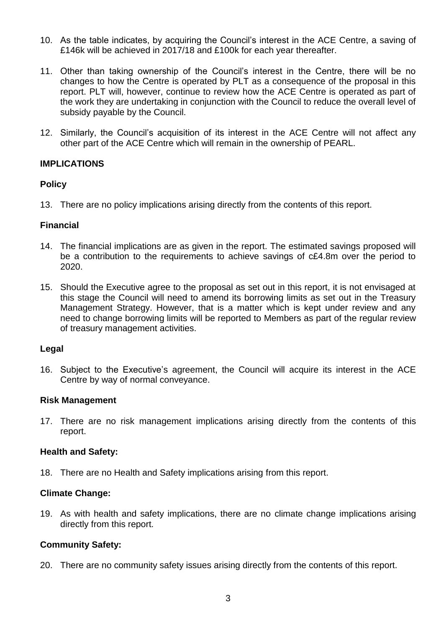- 10. As the table indicates, by acquiring the Council's interest in the ACE Centre, a saving of £146k will be achieved in 2017/18 and £100k for each year thereafter.
- 11. Other than taking ownership of the Council's interest in the Centre, there will be no changes to how the Centre is operated by PLT as a consequence of the proposal in this report. PLT will, however, continue to review how the ACE Centre is operated as part of the work they are undertaking in conjunction with the Council to reduce the overall level of subsidy payable by the Council.
- 12. Similarly, the Council's acquisition of its interest in the ACE Centre will not affect any other part of the ACE Centre which will remain in the ownership of PEARL.

# **IMPLICATIONS**

# **Policy**

13. There are no policy implications arising directly from the contents of this report.

#### **Financial**

- 14. The financial implications are as given in the report. The estimated savings proposed will be a contribution to the requirements to achieve savings of c£4.8m over the period to 2020.
- 15. Should the Executive agree to the proposal as set out in this report, it is not envisaged at this stage the Council will need to amend its borrowing limits as set out in the Treasury Management Strategy. However, that is a matter which is kept under review and any need to change borrowing limits will be reported to Members as part of the regular review of treasury management activities.

#### **Legal**

16. Subject to the Executive's agreement, the Council will acquire its interest in the ACE Centre by way of normal conveyance.

#### **Risk Management**

17. There are no risk management implications arising directly from the contents of this report.

# **Health and Safety:**

18. There are no Health and Safety implications arising from this report.

# **Climate Change:**

19. As with health and safety implications, there are no climate change implications arising directly from this report.

# **Community Safety:**

20. There are no community safety issues arising directly from the contents of this report.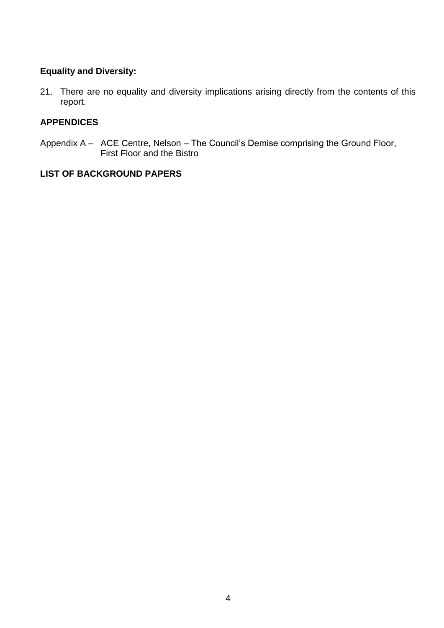# **Equality and Diversity:**

21. There are no equality and diversity implications arising directly from the contents of this report.

# **APPENDICES**

Appendix A – ACE Centre, Nelson – The Council's Demise comprising the Ground Floor, First Floor and the Bistro

# **LIST OF BACKGROUND PAPERS**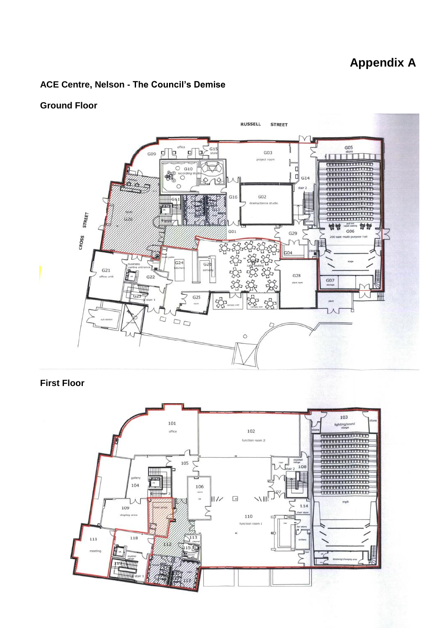# **Appendix A**

# **ACE Centre, Nelson - The Council's Demise**

# **Ground Floor**



# **First Floor**